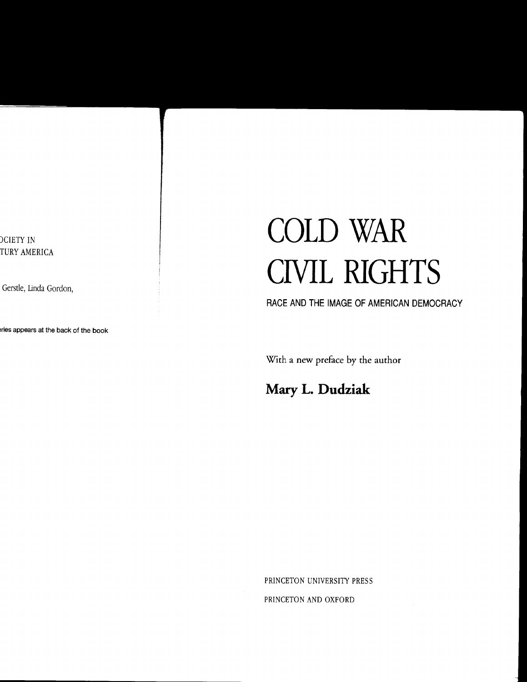**OCIETY IN** TURY AMERICA

Gerstle, Linda Gordon,

~ries appears at the back of the book

# **COLD WAR CIVIL RIGHTS**

**RACE AND THE IMAGE OF AMERICAN DEMOCRACY** 

With a new preface by the author

**Mary L. Dudziak** 

PRINCETON UNIVERSITY PRESS PRINCETON AND OXFORD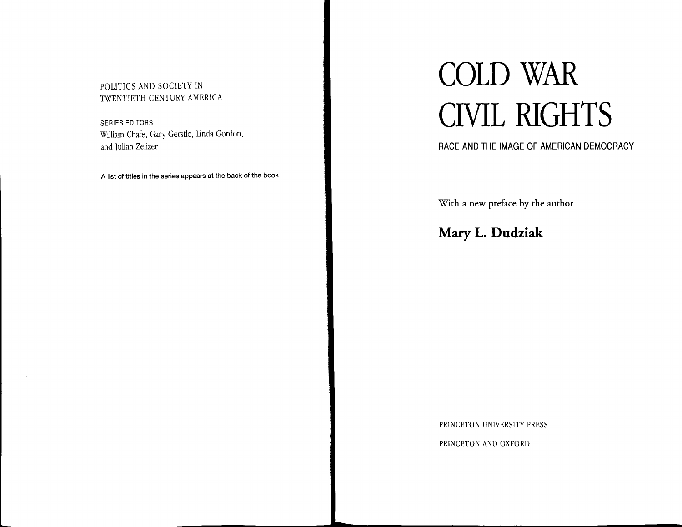### POLITICS AND SOCIETY IN TWENTIETH-CENTURY AMERICA

SERIES EDITORS William Chafe, Gary Gerstle, Linda Gordon, and Julian Zelizer

A list of titles in the series appears at the back of the book

# **COLD WAR CML RIGHTS**

#### **RACE AND THE IMAGE OF AMERICAN DEMOCRACY**

With a new preface by the author

**Mary L. Dudziak** 

PRINCETON UNIVERSITY PRESS

PRINCETON AND OXFORD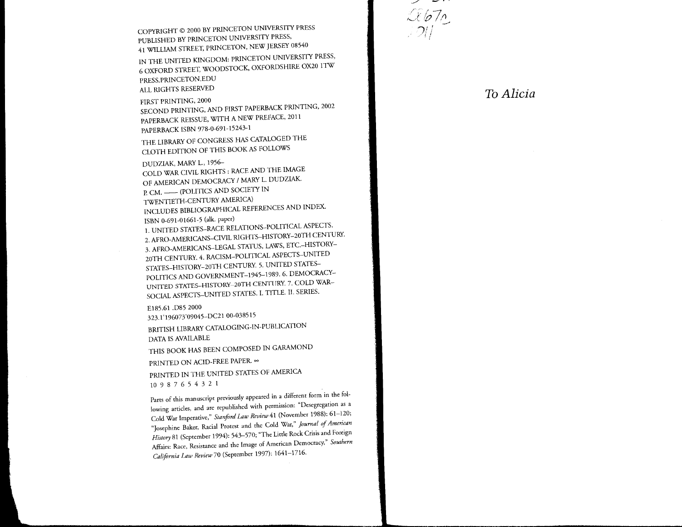COPYRIGHT © 2000 BY PRINCETON UNIVERSITY PRESS PUBLISHED BY PRINCETON UNIVERSITY PRESS, 41 WILLIAM STREET, PRINCETON, NEW JERSEY 08540

IN THE UNITED KINGDOM: PRINCETON UNIVERSITY PRESS, 6 OXFORD STREET, WOODSTOCK, OXFORDSHIRE OX20 1 TW PRESS. PRINCETON .EDU

ALL RIGHTS RESERVED

FIRST PRINTING, 2000

SECOND PRINTING, AND FIRST PAPERBACK PRINTING, 2002 PAPERBACK REISSUE, WITH A NEW PREFACE, 2011 PAPERBACK ISBN 978-0-691-15243-1

THE LIBRARY OF CONGRESS HAS CATALOGED THE CLOTH EDITION OF THIS BOOK AS FOLLOWS

DUDZIAK, MARY L., 1956-

COLD WAR CIVIL RIGHTS : RACE AND THE IMAGE OF AMERICAN DEMOCRACY I MARY L. DUDZIAK. P. CM. - (POLITICS AND SOCIETY IN

TWENTIETH-CENTURY AMERICA) INCLUDES BIBLIOGRAPHICAL REFERENCES AND INDEX. ISBN 0-691-01661-5 (alk. paper)

1. UNITED STATES-RACE RELATIONS-POLITICAL ASPECTS. 2. AFRO-AMERICANS-CIVIL RIGHTS-HISTORY -20TH CENTURY. 3. AFRO-AMERICANS-LEGAL STATUS, LAWS, ETC.-HISTORY-20TH CENTURY. 4. RACISM-POLITICAL ASPECTS-UNITED STATES-HISTORY-20TH CENTURY. 5. UNITED STATES-POLITICS AND GOVERNMENT-1945-1989. 6. DEMOCRACY-UNITED STATES-HISTORY-20TH CENTURY. 7. COLD WAR-SOCIAL ASPECTS-UNITED STATES. I. TITLE. II. SERIES.

E185.61 .D85 2000

323.1' 196073'09045-DC21 00-038515

BRITISH LIBRARY CATALOGING-IN-PUBLICATION DATA IS AVAILABLE

THIS BOOK HAS BEEN COMPOSED IN GARAMOND

PRINTED ON ACID-FREE PAPER.  $\infty$ 

PRINTED IN THE UNITED STATES OF AMERICA 10 9 8 7 6 5 4 3 2 1

Parts of this manuscript previously appeared in a different form in the following articles, and are republished with permission: "Desegregation as a Cold War Imperative," *Stanford Law Review41* (November 1988}: 61-120; "Josephine Baker, Racial Protest and the Cold War," *Journal of American History* 81 (September 1994}: 543-570; "The Little Rock Crisis and Foreign Affairs: Race, Resistance and the Image of American Democracy," *Southern California Law Review70* (September 1997}: 1641-1716.

/' LE 670<br>|- W

*To Alicia*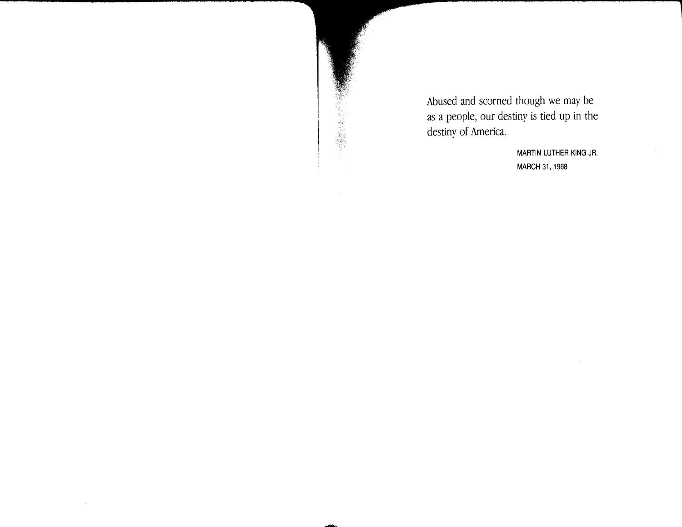

Abused and scorned though we may be as a people, our destiny is tied up in the destiny of America.

> MARTIN LUTHER KING JR. MARCH 31, 1968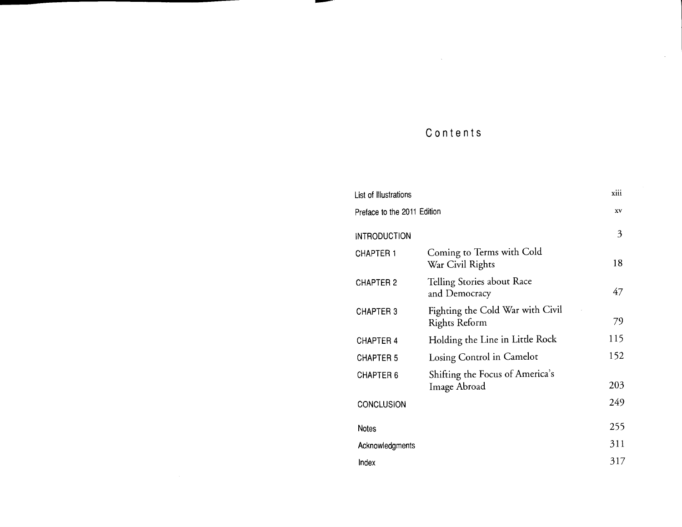#### **Contents**

 $\bar{z}$ 

-

| List of Illustrations       |                                                          | <b>X111</b> |
|-----------------------------|----------------------------------------------------------|-------------|
| Preface to the 2011 Edition |                                                          | XV          |
| <b>INTRODUCTION</b>         |                                                          | 3           |
| CHAPTER 1                   | Coming to Terms with Cold<br>War Civil Rights            | 18          |
| <b>CHAPTER 2</b>            | Telling Stories about Race<br>and Democracy              | 47          |
| <b>CHAPTER 3</b>            | Fighting the Cold War with Civil<br><b>Rights Reform</b> | 79          |
| <b>CHAPTER 4</b>            | Holding the Line in Little Rock                          | 115         |
| <b>CHAPTER 5</b>            | Losing Control in Camelot                                | 152         |
| <b>CHAPTER 6</b>            | Shifting the Focus of America's<br>Image Abroad          | 203         |
| <b>CONCLUSION</b>           |                                                          | 249         |
| <b>Notes</b>                |                                                          | 255         |
| Acknowledgments             |                                                          | 311         |
| Index                       |                                                          | 317         |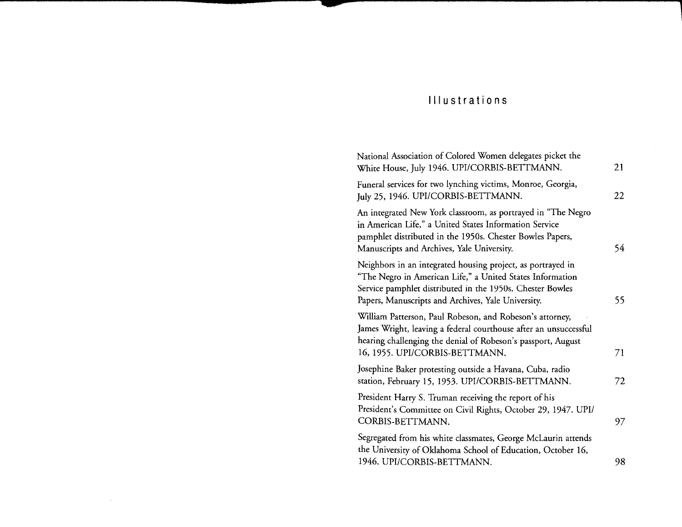#### **Illustrations**

------ --·· **l** 

| National Association of Colored Women delegates picket the<br>White House, July 1946. UPI/CORBIS-BETTMANN.                                                                                                                                  | 21  |
|---------------------------------------------------------------------------------------------------------------------------------------------------------------------------------------------------------------------------------------------|-----|
| Funeral services for two lynching victims, Monroe, Georgia,<br>July 25, 1946. UPI/CORBIS-BETTMANN.                                                                                                                                          | 22  |
| An integrated New York classroom, as portrayed in "The Negro<br>in American Life," a United States Information Service<br>pamphlet distributed in the 1950s. Chester Bowles Papers,<br>Manuscripts and Archives, Yale University.           | 54  |
| Neighbors in an integrated housing project, as portrayed in<br>"The Negro in American Life," a United States Information<br>Service pamphlet distributed in the 1950s. Chester Bowles<br>Papers, Manuscripts and Archives, Yale University. | 55  |
| William Patterson, Paul Robeson, and Robeson's attorney,<br>James Wright, leaving a federal courthouse after an unsuccessful<br>hearing challenging the denial of Robeson's passport, August<br>16, 1955. UPI/CORBIS-BETTMANN.              | 71  |
| Josephine Baker protesting outside a Havana, Cuba, radio<br>station, February 15, 1953. UPI/CORBIS-BETTMANN.                                                                                                                                | 72  |
| President Harry S. Truman receiving the report of his<br>President's Committee on Civil Rights, October 29, 1947. UPI/<br>CORBIS-BETTMANN.                                                                                                  | 97. |
| Segregated from his white classmates, George McLaurin attends<br>the University of Oklahoma School of Education, October 16,<br>1946. UPI/CORBIS-BETTMANN.                                                                                  | 98  |

 $\mathcal{L}^{\mathcal{L}}(\mathcal{L}^{\mathcal{L}}(\mathcal{L}^{\mathcal{L}}))$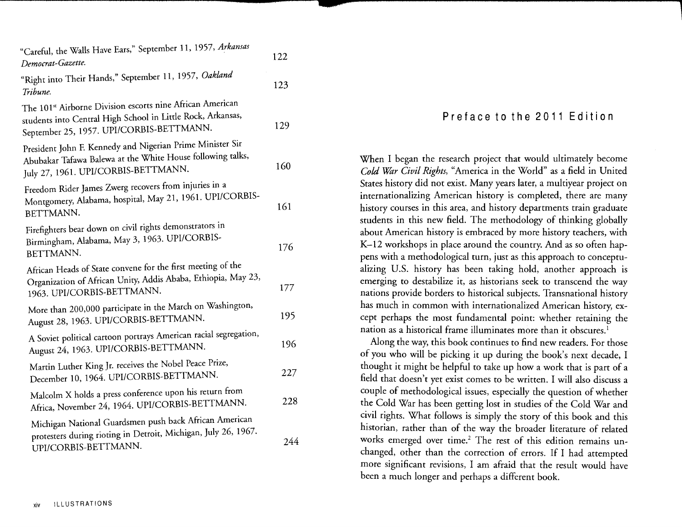| "Careful, the Walls Have Ears," September 11, 1957, Arkansas<br>Democrat-Gazette.                                                                                                |     |
|----------------------------------------------------------------------------------------------------------------------------------------------------------------------------------|-----|
| "Right into Their Hands," September 11, 1957, <i>Oakland</i><br>Tribune.                                                                                                         | 123 |
| The 101 <sup>st</sup> Airborne Division escorts nine African American<br>students into Central High School in Little Rock, Arkansas,<br>September 25, 1957. UPI/CORBIS-BETTMANN. | 129 |
| President John F. Kennedy and Nigerian Prime Minister Sir<br>Abubakar Tafawa Balewa at the White House following talks,<br>July 27, 1961. UPI/CORBIS-BETTMANN.                   | 160 |
| Freedom Rider James Zwerg recovers from injuries in a<br>Montgomery, Alabama, hospital, May 21, 1961. UPI/CORBIS-<br>BETTMANN.                                                   | 161 |
| Firefighters bear down on civil rights demonstrators in<br>Birmingham, Alabama, May 3, 1963. UPI/CORBIS-<br>BETTMANN.                                                            | 176 |
| African Heads of State convene for the first meeting of the<br>Organization of African Unity, Addis Ababa, Ethiopia, May 23,<br>1963. UPI/CORBIS-BETTMANN.                       | 177 |
| More than 200,000 participate in the March on Washington,<br>August 28, 1963. UPI/CORBIS-BETTMANN.                                                                               | 195 |
| A Soviet political cartoon portrays American racial segregation,<br>August 24, 1963. UPI/CORBIS-BETTMANN.                                                                        | 196 |
| Martin Luther King Jr. receives the Nobel Peace Prize,<br>December 10, 1964. UPI/CORBIS-BETTMANN.                                                                                | 227 |
| Malcolm X holds a press conference upon his return from<br>Africa, November 24, 1964. UPI/CORBIS-BETTMANN.                                                                       | 228 |
| Michigan National Guardsmen push back African American<br>protesters during rioting in Detroit, Michigan, July 26, 1967.<br>UPI/CORBIS-BETTMANN.                                 | 244 |

### **Preface to the 2011 Edition**

When I began the research project that would ultimately become *Cold Civil Rights,* "America in the World" as a field in United States history did not exist. Many years later, a multiyear project on internationalizing American history is completed, there are many history courses in this area, and history departments train graduate students in this new field. The methodology of thinking globally about American history is embraced by more history teachers, with K-12 workshops in place around the country. And as so often happens with a methodological turn, just as this approach to conceptualizing U.S. history has been taking hold, another approach is emerging to destabilize it, as historians seek to transcend the way nations provide borders to historical subjects. Transnational history has much in common with internationalized American history, except perhaps the most fundamental point: whether retaining the nation as a historical frame illuminates more than it obscures.<sup>1</sup>

Along the way, this book continues to find new readers. For those of you who will be picking it up during the book's next decade, I thought it might be helpful to take up how a work that is part of a field that doesn't yet exist comes to be written. I will also discuss a couple of methodological issues, especially the question of whether the Cold War has been getting lost in studies of the Cold War and civil rights. What follows is simply the story of this book and this historian, rather than of the way the broader literature of related works emerged over time.<sup>2</sup> The rest of this edition remains unchanged, other than the correction of errors. If I had attempted more significant revisions, I am afraid that the result would have been a much longer and perhaps a different book.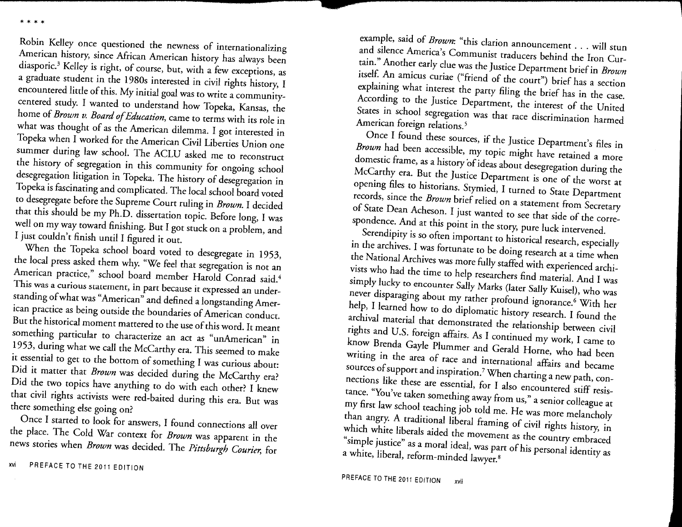Robin Kelley once questioned the newness of internationalizing American history, since African American history has always been diasporic.3 Kelley is right, of course, but, with a few exceptions, as a graduate student in the 1980s interested in civil rights history, I encountered little of this. My initial goal was to write a communitycentered study. I wanted to understand how Topeka, Kansas, the home of *Brown v. Board of Education,* came to terms with its role in what was thought of as the American dilemma. I got interested in Topeka when I worked for the American Civil Liberties Union one summer during law school. The ACLU asked me to reconstruct the history of segregation in this community for ongoing school desegregation litigation in Topeka. The history of desegregation in Topeka is fascinating and complicated. The local school board voted to desegregate before the Supreme Court ruling in *Brown.* I decided that this should be my Ph.D. dissertation topic. Before long, I was well on my way toward finishing. But I got stuck on a problem, and I just couldn't finish until I figured it out.

••<--·· -------·---------------

When the Topeka school board voted to desegregate in 1953, the local press asked them why. "We feel that segregation is not an American practice," school board member Harold Conrad said.<sup>4</sup> This was a curious statement, in part because it expressed an understanding of what was "American" and defined a longstanding American practice as being outside the boundaries of American conduct. But the historical moment mattered to the use of this word. It meant something particular to characterize an act as "unAmerican" in 1953, during what we call the McCarthy era. This seemed to make it essential to get to the bottom of something I was curious about: Did it matter that *Brown* was decided during the McCarthy era? Did the two topics have anything to do with each other? I knew that civil rights activists were red-baited during this era. But was there something else going on?

Once I started to look for answers, I found connections all over the place. The Cold War context for *Brown* was apparent in the news stories when *Brown* was decided. The *Pittsburgh Courier,* for

xvi PREFACE TO THE 2011 EDITION

example, said of *Brown:* "this clarion announcement ... will stun and silence America's Communist traducers behind the Iron Curtain." Another early clue was the Justice Department brief in *Brown*  itself. An amicus curiae ("friend of the court") brief has a section explaining what interest the party filing the brief has in the case. According to the Justice Department, the interest of the United States in school segregation was that race discrimination harmed American foreign relations.<sup>5</sup>

Once I found these sources, if the Justice Department's files in *Brown* had been accessible, my topic might have retained a more domestic frame, as a history of ideas about desegregation during the McCarthy era. But the Justice Department is one of the worst at opening files to historians. Stymied, I turned to State Department records, since the *Brown* brief relied on a statement from Secretary of State Dean Acheson. I just wanted to see that side of the correspondence. And at this point in the story, pure luck intervened.

Serendipity is so often important to historical research, especially in the archives. I was fortunate to be doing research at a time when the National Archives was more fully staffed with experienced archivists who had the time to help researchers find material. And I was simply lucky to encounter Sally Marks (later Sally Kuisel), who was never disparaging about my rather profound ignorance.<sup>6</sup> With her help, I learned how to do diplomatic history research. I found the archival material that demonstrated the relationship between civil rights and U.S. foreign affairs. As I continued my work, I came to know Brenda Gayle Plummer and Gerald Horne, who had been writing in the area of race and international affairs and became sources of support and inspiration.<sup>7</sup> When charting a new path, connections like these are essential, for I also encountered stiff resistance. "You've taken something away from us," a senior colleague at my first law school teaching job told me. He was more melancholy than angry. A traditional liberal framing of civil rights history, in which white liberals aided the movement as the country embraced "simple justice" as a moral ideal, was part of his personal identity as a white, liberal, reform-minded lawyer. 8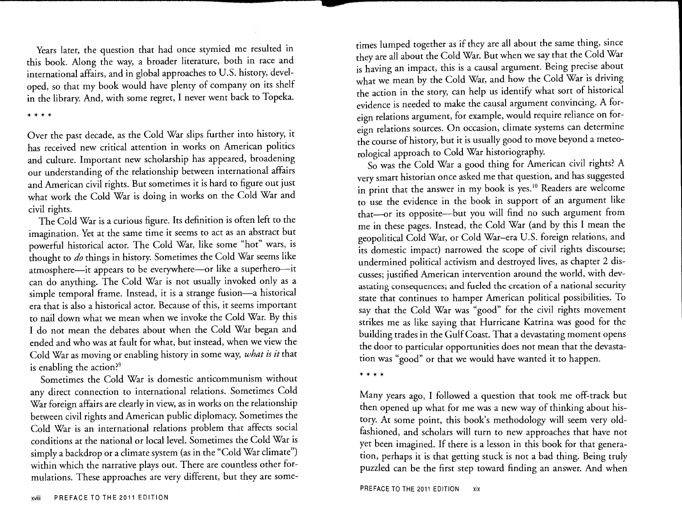Years later, the question that had once stymied me resulted in this book. Along the way, a broader literature, both in race and international affairs, and in global approaches to U.S. history, developed, so that my book would have plenty of company on its shelf in the library. And, with some regret, I never went back to Topeka.

#### \* \* \* \*

Over the past decade, as the Cold War slips further into history, it has received new critical attention in works on American politics and culture. Important new scholarship has appeared, broadening our understanding of the relationship between international affairs and American civil rights. But sometimes it is hard to figure out just what work the Cold War is doing in works on the Cold War and civil rights.

The Cold War is a curious figure. Its definition is often left to the imagination. Yet at the same time it seems to act as an abstract but powerful historical actor. The Cold War, like some "hot" wars, is thought to *do* things in history. Sometimes the Cold War seems like atmosphere-it appears to be everywhere-or like a superhero-it can do anything. The Cold War is not usually invoked only as a simple temporal frame. Instead, it is a strange fusion-a historical era that is also a historical actor. Because of this, it seems important to nail down what we mean when we invoke the Cold War. By this I do not mean the debates about when the Cold War began and ended and who was at fault for what, but instead, when we view the Cold War as moving or enabling history in some way, *what is it* that is enabling the action?<sup>9</sup>

Sometimes the Cold War is domestic anticommunism without any direct connection to international relations. Sometimes Cold War foreign affairs are clearly in view, as in works on the relationship between civil rights and American public diplomacy. Sometimes the Cold War is an international relations problem that affects social conditions at the national or local level. Sometimes the Cold War is simply a backdrop or a climate system (as in the "Cold War climate") within which the narrative plays out. There are countless other formulations. These approaches are very different, but they are sometimes lumped together as if they are all about the same thing, since they are all about the Cold War. But when we say that the Cold War is having an impact, this is a causal argument. Being precise about what we mean by the Cold War, and how the Cold War is driving the action in the story, can help us identify what sort of historical evidence is needed to make the causal argument convincing. A foreign relations argument, for example, would require reliance on foreign relations sources. On occasion, climate systems can determine the course of history, but it is usually good to move beyond a meteorological approach to Cold War historiography.

So was the Cold War a good thing for American civil rights? A very smart historian once asked me that question, and has suggested in print that the answer in my book is yes.<sup>10</sup> Readers are welcome to use the evidence in the book in support of an argument like that-or its opposite-but you will find no such argument from me in these pages. Instead, the Cold War (and by this I mean the geopolitical Cold War, or Cold War-era U.S. foreign relations, and its domestic impact) narrowed the scope of civil rights discourse; undermined political activism and destroyed lives, as chapter 2 discusses; justified American intervention around the world, with devastating consequences; and fueled the creation of a national security state that continues to hamper American political possibilities. To say that the Cold War was "good" for the civil rights movement strikes me as like saying that Hurricane Katrina was good for the building trades in the Gulf Coast. That a devastating moment opens the door to particular opportunities does not mean that the devastation was "good" or that we would have wanted it to happen.

\* \* \* \*

Many years ago, I followed a question that took me off-track but then opened up what for me was a new way of thinking about history. At some point, this book's methodology will seem very oldfashioned, and scholars will turn to new approaches that have not yet been imagined. If there is a lesson in this book for that generation, perhaps it is that getting stuck is not a bad thing. Being truly puzzled can be the first step toward finding an answer. And when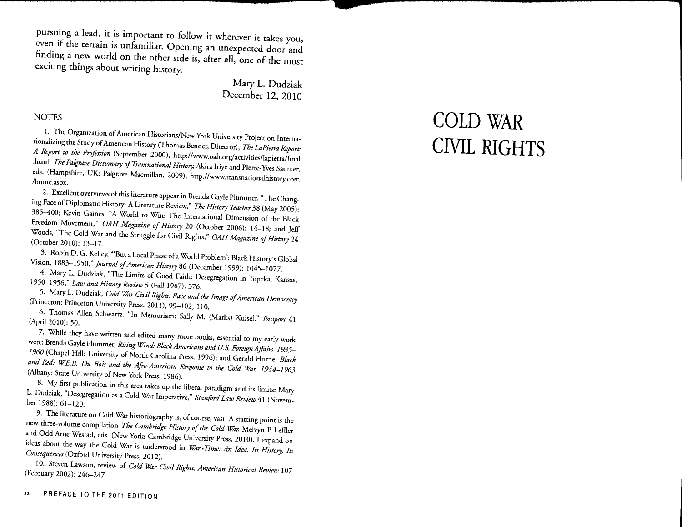pursuing a lead, it is important to follow it wherever it takes you, even if the terrain is unfamiliar. Opening an unexpected door and finding a new world on the other side is, after all, one of the most exciting things about writing history.

> Mary L. Dudziak December 12, 2010

#### NOTES

I. The Organization of American Historians/New York University Project on Internationalizing the Study of American History (Thomas Bender, Director), *The LaPietra Report: A Report to the Profession* (September 2000), http://www.oah.org/activities/lapietra/final .html; *The Palgrave Dictionary ofTransnational History,* Akira Iriye and Pierre-Yves Saunier, eds. (Hampshire, UK: Palgrave Macmillan, 2009), http://www.transnationalhistory.com /home.aspx.

2. Excellent overviews of this literature appear in Brenda Gayle Plummer, "The Changing Face of Diplomatic History: A Literature Review," *The History Teacher* 38 (May 2005): 385-400; Kevin Gaines, "A World to Win: The International Dimension of the Black Freedom Movement," *OAH Magazine of History* 20 (October 2006): 14-18; and Jeff Woods, "The Cold War and the Struggle for Civil Rights," *OAH Magazine of History* 24 (October 20IO): I3-I7.

3. Robin D. G. Kelley, "'But a Local Phase of a World Problem': Black History's Global Vision, I883-I950," *journal of American History* 86 (December I999): 1045-1077.

4. Mary L. Dudziak, "The Limits of Good Faith: Desegregation in Topeka, Kansas, I950-I956," *Law and History Review* 5 (Fall I987): 376.

5. Mary L. Dudziak, *Cold War Civil Rights: Race and the Image of American Democracy* (Princeton: Princeton University Press, 2011), 99-I02, 110.

6. Thomas Allen Schwartz, "In Memoriam: Sally M. (Marks) Kuisel," *Passport* 4I (April2010): 50.

7. While they have written and edited many more books, essential to my early work were: Brenda Gayle Plummer, *Rising Wind· Black Americans and US. Foreign Affairs, I935- I960* (Chapel Hill: University of North Carolina Press, I996); and Gerald Horne, *Black*  and Red: W.E.B. Du Bois and the Afro-American Response to the Cold War, 1944-1963 (Albany: State University of New York Press, I986).

8. My first publication in this area takes up the liberal paradigm and its limits: Mary L. Dudziak, "Desegregation as a Cold War Imperative," *Stanford Law Review4I* (November I988): 6I-I20.

9. The literature on Cold War historiography is, of course, vast. A starting point is the new three-volume compilation *The Cambridge History of the Cold War*, Melvyn P. Leffler and Odd Arne Westad, eds. (New York: Cambridge University Press, 20IO). I expand on ideas about the way the Cold War is understood in War · Time: An Idea, Its History, Its *Consequences* (Oxford University Press, 20I2).

10. Steven Lawson, review of *Cold War Civil Rights, American Historical Review* 107 (February 2002): 246-247.

## **COLD WAR CML RIGHTS**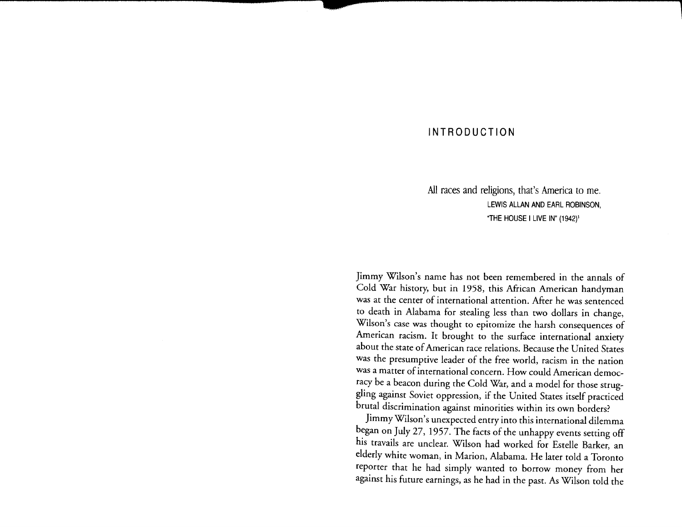#### **INTRODUCTION**

........ ---c---•c•

All races and religions, that's America to me. LEWIS ALLAN AND EARL ROBINSON, "THE HOUSE I LIVE IN" (1942)<sup>1</sup>

Jimmy Wilson's name has not been remembered in the annals of Cold War history, but in 1958, this African American handyman was at the center of international attention. Mter he was sentenced to death in Alabama for stealing less than two dollars in change, Wilson's case was thought to epitomize the harsh consequences of American racism. It brought to the surface international anxiety about the state of American race relations. Because the United States was the presumptive leader of the free world, racism in the nation was a matter of international concern. How could American democracy be a beacon during the Cold War, and a model for those struggling against Soviet oppression, if the United States itself practiced brutal discrimination against minorities within its own borders?

Jimmy Wilson's unexpected entry into this international dilemma began on July 27, 1957. The facts of the unhappy events setting off his travails are unclear. Wilson had worked for Estelle Barker, an elderly white woman, in Marion, Alabama. He later told a Toronto reporter that he had simply wanted to borrow money from her against his future earnings, as he had in the past. *As* Wilson told the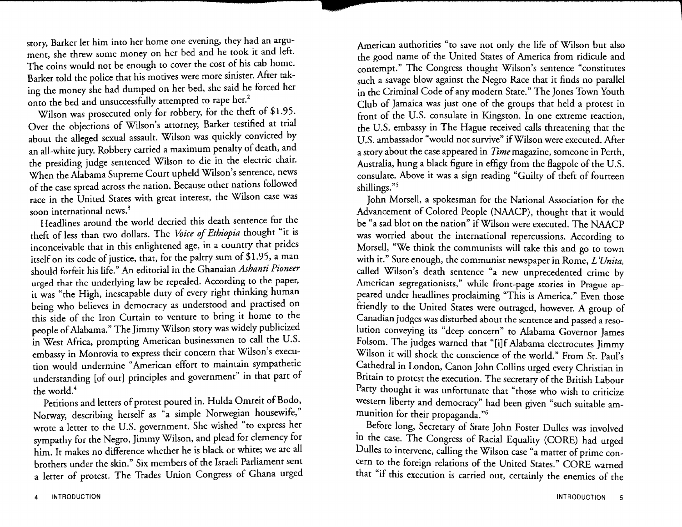story, Barker let him into her home one evening, they had an argument, she threw some money on her bed and he took it and left. The coins would not be enough to cover the cost of his cab home. Barker told the police that his motives were more sinister. After taking the money she had dumped on her bed, she said he forced her onto the bed and unsuccessfully attempted to rape her.<sup>2</sup>

Wilson was prosecuted only for robbery, for the theft of \$1.95. Over the objections of Wilson's attorney, Barker testified at trial about the alleged sexual assault. Wilson was quickly convicted by an all-white jury. Robbery carried a maximum penalty of death, and the presiding judge sentenced Wilson to die in the electric chair. When the Alabama Supreme Court upheld Wilson's sentence, news of the case spread across the nation. Because other nations followed race in the United States with great interest, the Wilson case was soon international news.<sup>3</sup>

Headlines around the world decried this death sentence for the theft of less than two dollars. The *Voice of Ethiopia* thought "it is inconceivable that in this enlightened age, in a country that prides itself on its code of justice, that, for the paltry sum of \$1.95, a man should forfeit his life." An editorial in the Ghanaian *Ashanti Pioneer*  urged that the underlying law be repealed. According to the paper, it was "the High, inescapable duty of every right thinking human being who believes in democracy as understood and practised on this side of the Iron Curtain to venture to bring it home to the people of Alabama." The Jimmy Wilson story was widely publicized in West Mrica, prompting American businessmen to call the U.S. embassy in Monrovia to express their concern that Wilson's execution would undermine "American effort to maintain sympathetic understanding [of our] principles and government" in that part of the world.<sup>4</sup>

Petitions and letters of protest poured in. Hulda Omreit of Bodo, Norway, describing herself as "a simple Norwegian housewife," wrote a letter to the U.S. government. She wished "to express her sympathy for the Negro, Jimmy Wilson, and plead for clemency for him. It makes no difference whether he is black or white; we are all brothers under the skin." Six members of the Israeli Parliament sent a letter of protest. The Trades Union Congress of Ghana urged

American authorities "to save not only the life of Wilson but also the good name of the United States of America from ridicule and contempt." The Congress thought Wilson's sentence "constitutes such a savage blow against the Negro Race that it finds no parallel in the Criminal Code of any modern State." The Jones Town Youth Club of Jamaica was just one of the groups that held a protest in front of the U.S. consulate in Kingston. In one extreme reaction, the U.S. embassy in The Hague received calls threatening that the U.S. ambassador "would not survive" ifWilson were executed. After a story about the case appeared in *Time* magazine, someone in Perth, Australia, hung a black figure in effigy from the flagpole of the U.S. consulate. Above it was a sign reading "Guilty of theft of fourteen shillings."<sup>5</sup>

John Morsell, a spokesman for the National Association for the Advancement of Colored People (NAACP), thought that it would be "a sad blot on the nation" if Wilson were executed. The NAACP was worried about the international repercussions. According to Morsell, "We think the communists will take this and go to town with it." Sure enough, the communist newspaper in Rome, *L 'Unita,*  called Wilson's death sentence "a new unprecedented crime by American segregationists," while front-page stories in Prague appeared under headlines proclaiming "This is America." Even those friendly to the United States were outraged, however. A group of Canadian judges was disturbed about the sentence and passed a resolution conveying its "deep concern" to Alabama Governor James Folsom. The judges warned that "[i]f Alabama electrocutes Jimmy Wilson it will shock the conscience of the world." From St. Paul's Cathedral in London, Canon John Collins urged every Christian in Britain to protest the execution. The secretary of the British Labour Party thought it was unfortunate that "those who wish to criticize western liberty and democracy" had been given "such suitable ammunition for their propaganda."6

Before long, Secretary of State John Foster Dulles was involved in the case. The Congress of Racial Equality (CORE) had urged Dulles to intervene, calling the Wilson case "a matter of prime concern to the foreign relations of the United States." CORE warned that "if this execution is carried out, certainly the enemies of the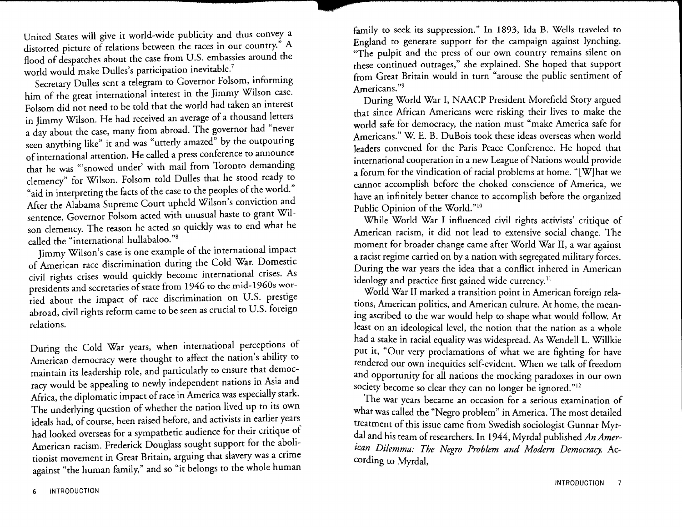United States will give it world-wide publicity and thus convey a distorted picture of relations between the races in our country." A flood of despatches about the case from U.S. embassies around the world would make Dulles's participation inevitable.<sup>7</sup>

Secretary Dulles sent a telegram to Governor Folsom, informing him of the great international interest in the Jimmy Wilson case. Folsom did not need to be told that the world had taken an interest in Jimmy Wilson. He had received an average of a thousand letters a day about the case, many from abroad. The governor had "never seen anything like" it and was "utterly amazed" by the outpouring of international attention. He called a press conference to announce that he was '"snowed under' with mail from Toronto demanding clemency" for Wilson. Folsom told Dulles that he stood ready to "aid in interpreting the facts of the case to the peoples of the world." After the Alabama Supreme Court upheld Wilson's conviction and sentence, Governor Folsom acted with unusual haste to grant Wilson clemency. The reason he acted so quickly was to end what he called the "international hullabaloo."<sup>8</sup>

Jimmy Wilson's case is one example of the international impact of American race discrimination during the Cold War. Domestic civil rights crises would quickly become international crises. As presidents and secretaries of state from 1946 to the mid-1960s worried about the impact of race discrimination on U.S. prestige abroad, civil rights reform came to be seen as crucial to U.S. foreign relations.

During the Cold War years, when international perceptions of American democracy were thought to affect the nation's ability to maintain its leadership role, and particularly to ensure that democracy would be appealing to newly independent nations in Asia and Africa, the diplomatic impact of race in America was especially stark. The underlying question of whether the nation lived up to its own ideals had, of course, been raised before, and activists in earlier years had looked overseas for a sympathetic audience for their critique of American racism. Frederick Douglass sought support for the abolitionist movement in Great Britain, arguing that slavery was a crime against "the human family," and so "it belongs to the whole human family to seek its suppression." In 1893, Ida B. Wells traveled to England to generate support for the campaign against lynching. "The pulpit and the press of our own country remains silent on these continued outrages," she explained. She hoped that support from Great Britain would in turn "arouse the public sentiment of Americans."<sup>9</sup>

During World War I, NAACP President Morefield Story argued that since African Americans were risking their lives to make the world safe for democracy, the nation must "make America safe for Americans." W. E. B. DuBois took these ideas overseas when world leaders convened for the Paris Peace Conference. He hoped that international cooperation in a new League of Nations would provide a forum for the vindication of racial problems at home. "[W]hat we cannot accomplish before the choked conscience of America, we have an infinitely better chance to accomplish before the organized Public Opinion of the World."<sup>10</sup>

While World War I influenced civil rights activists' critique of American racism, it did not lead to extensive social change. The moment for broader change came after World War II, a war against a racist regime carried on by a nation with segregated military forces. During the war years the idea that a conflict inhered in American ideology and practice first gained wide currency.<sup>11</sup>

World War II marked a transition point in American foreign relations, American politics, and American culture. At home, the meaning ascribed to the war would help to shape what would follow. At least on an ideological level, the notion that the nation as a whole had a stake in racial equality was widespread. As Wendell L. Willkie put it, "Our very proclamations of what we are fighting for have rendered our own inequities self-evident. When we talk of freedom and opportunity for all nations the mocking paradoxes in our own society become so clear they can no longer be ignored."<sup>12</sup>

The war years became an occasion for a serious examination of what was called the "Negro problem" in America. The most detailed treatment of this issue came from Swedish sociologist Gunnar Myrdal and his team of researchers. In 1944, Myrdal published *An American Dilemma: The Negro Problem and Modern Democracy.* According to Myrdal,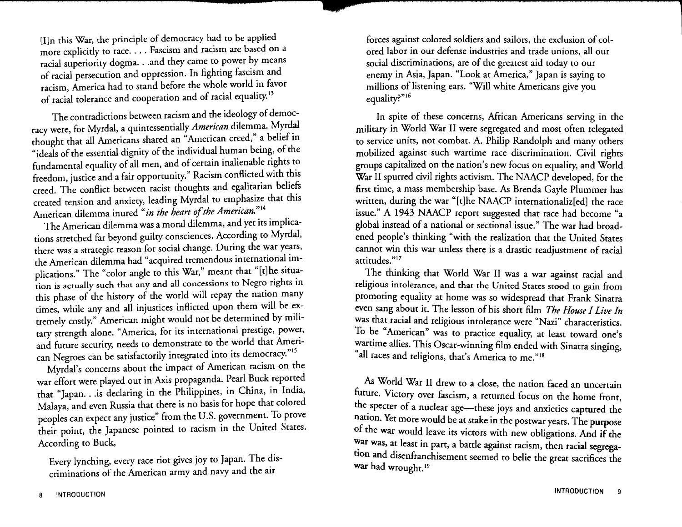[I]n this War, the principle of democracy had to be applied forces against colored soldiers and sailors, the exclusion of colmore explicitly to race.... Fascism and racism are based on a ored labor in our defense industries and trade unions, all our racial superiority dogma. . .and they came to power by means social discriminations, are of the greatest aid today to our of racial persecution and oppression. In fighting fascism and enemy in Asia, Japan. "Look at America," Japan is saying to racism, America had to stand before the whole world in favor millions of listening ears. "Will white Americans give you of racial tolerance and cooperation and of racial equality.<sup>13</sup> equality?<sup>316</sup>

The contradictions between racism and the ideology of democ-<br>racy were, for Myrdal, a quintessentially *American* dilemma. Myrdal military in World War II were segregated and most often relegated racy were, for Myrdal, a quintessentially *American* dilemma. Myrdal military in World War II were segregated and most often relegated<br>to service units, not combat. A. Philin Randolnh and many others "ideals of the essential dignity of the individual human being, of the mobilized against such wartime race discrimination. Civil rights<br>Fundamental equality of all men, and of certain inalienable rights to groups capitaliz freedom, justice and a fair opportunity." Racism conflicted with this **Example 19 Section** War II spurred civil rights activism. The NAACP developed, for the creed. The conflict between racist thoughts and egalitarian beliefs<br>created tension and anxiety, leading Myrdal to emphasize that this written, during the war "[t]he NAACP internationalized] the race

The American dilemma was a moral dilemma, and yet its implica-<br>tions stretched far beyond guilty consciences. According to Myrdal,<br>ened people's thinking "with the realization that the United States" tions stretched far beyond guilty consciences. According to Myrdal, ened people's thinking "with the realization that the United States<br>there was a strategic reason for social change. During the war years, cannot win this the American dilemma had "acquired tremendous international im-<br>attitudes."<sup>17</sup> plications." The "color angle to this War," meant that "[t]he situa-<br>
tion is actually such that any and all concessions to Negro rights in<br>
religious intolerance, and that the United States stood to cain from tion is actually such that any and all concessions to Negro rights in a religious intolerance, and that the United States stood to gain from<br>this phase of the history of the world will repay the nation many promoting equal this phase of the history of the world will repay the nation many<br>times, while any and all injustices inflicted upon them will be ex-<br>even sang about it. The lesson of his short film The House I Jim In times, while any and all injustices inflicted upon them will be ex-<br>tremely costly." American might would not be determined by mili-<br>was that racial and religious intolerance were "Nazi" characteristics tremely costly." American might would not be determined by mili-<br>tary strength alone. "America, for its international prestige, power, To be "American" was to practice equality at least toward one's tary strength alone. "America, for its international prestige, power,<br>and future security, needs to demonstrate to the world that Ameri-<br>wartime allies. This Oscar-winning film ended with Sinatra singing can Negroes can be satisfactorily integrated into its democracy."<sup>15</sup> "all races and religions, that's America to me."<sup>18</sup>

Myrdal's concerns about the impact of American racism on the war effort were played out in Axis propaganda. Pearl that "Japan... is declaring in the Philippines, in China, in India, Malaya, and even Russia that there is no basis for hope that colored peoples can expect any justice" from the U.S. government. To prove their point, the Japanese pointed to racism in the United States. According to Buck,

Every lynching, every race riot gives joy to Japan. The criminations of the American army and navy and the atr

• 1

to service units, not combat. A. Philip Randolph and many others groups capitalized on the nation's new focus on equality, and World written, during the war "[t]he NAACP internationaliz[ed] the race American dilemma inured "*in the heart of the American*."<sup>14</sup> issue." A 1943 NAACP report suggested that race had become "a plobal instead of a national or sectional issue." The war had head-<br>global instead of a national o cannot win this war unless there is a drastic readjustment of racial

wartime allies. This Oscar-winning film ended with Sinatra singing,

*As* World War II drew to a close, the nation faced an uncertain future. Victory over fascism, a returned focus on the home front, the specter of a nuclear age-these joys and anxieties captured the nation. Yet more would be at stake in the postwar years. The purpose of the war would leave its victors with new obligations. And if the war was, at least in part, a battle against racism, then racial segregation and disenfranchisement seemed to belie the great sacrifices the war had wrought.<sup>19</sup>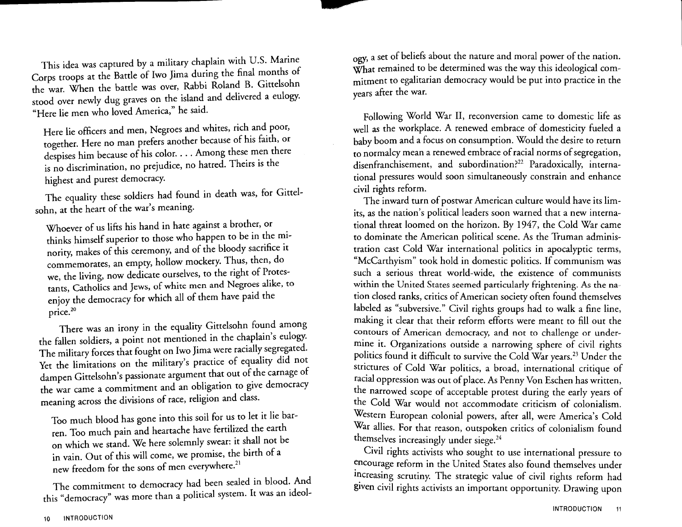This idea was captured by a military chaplain with U.S. Marine Corps troops at the Battle of Iwo Jima during the final months of the war. When the battle was over, Rabbi Roland B. Gittelsohn stood over newly dug graves on the island and delivered a eulogy. "Here lie men who loved America," he said.

Here lie officers and men, Negroes and whites, rich and poor, together. Here no man prefers another because of his faith, or despises him because of his color .... Among these men there is no discrimination, no prejudice, no hatred. Theirs is the highest and purest democracy.

The equality these soldiers had found in death was, for Gittelsohn, at the heart of the war's meaning.

Whoever of us lifts his hand in hate against a brother, or thinks himself superior to those who happen to be in the minority, makes of this ceremony, and of the bloody sacrifice it commemorates, an empty, hollow mockery. Thus, then, do we, the living, now dedicate ourselves, to the right of Protestants, Catholics and Jews, of white men and Negroes alike, to enjoy the democracy for which all of them have paid the price. <sup>20</sup>

There was an irony in the equality Gittelsohn found among the fallen soldiers, a point not mentioned in the chaplain's eulogy. The military forces that fought on Iwo Jima were racially segregated. Yet the limitations on the military's practice of equality did not dampen Gittelsohn's passionate argument that out of the carnage of the war came a commitment and an obligation to give democracy meaning across the divisions of race, religion and class.

Too much blood has gone into this soil for us to let it lie barren. Too much pain and heartache have fertilized the earth on which we stand. We here solemnly swear: it shall not be in vain. Out of this will come, we promise, the birth of a new freedom for the sons of men everywhere.<sup>21</sup>

The commitment to democracy had been sealed in blood. And this "democracy" was more than a political system. It was an idealogy, a set of beliefs about the nature and moral power of the nation. What remained to be determined was the way this ideological commitment to egalitarian democracy would be put into practice in the years after the war.

Following World War II, reconversion came to domestic life as well as the workplace. A renewed embrace of domesticity fueled a baby boom and a focus on consumption. Would the desire to return to normalcy mean a renewed embrace of racial norms of segregation, disenfranchisement, and subordination?<sup>22</sup> Paradoxically, international pressures would soon simultaneously constrain and enhance civil rights reform.

The inward turn of postwar American culture would have its limits, as the nation's political leaders soon warned that a new international threat loomed on the horizon. By 1947, the Cold War came to dominate the American political scene. As the Truman administration cast Cold War international politics in apocalyptic terms, "McCarthyism" took hold in domestic politics. If communism was such a serious threat world-wide, the existence of communists within the United States seemed particularly frightening. As the nation closed ranks, critics of American society often found themselves labeled as "subversive." Civil rights groups had to walk a fine line, making it clear that their reform efforts were meant to fill out the contours of American democracy, and not to challenge or undermine it. Organizations outside a narrowing sphere of civil rights politics found it difficult to survive the Cold War years. 23 Under the strictures of Cold War politics, a broad, international critique of racial oppression was out of place. As Penny Von Eschen has written, the narrowed scope of acceptable protest during the early years of the Cold War would not accommodate criticism of colonialism. Western European colonial powers, after all, were America's Cold War allies. For that reason, outspoken critics of colonialism found themselves increasingly under siege.<sup>24</sup>

Civil rights activists who sought to use international pressure to encourage reform in the United States also found themselves under increasing scrutiny. The strategic value of civil rights reform had given civil rights activists an important opportunity. Drawing upon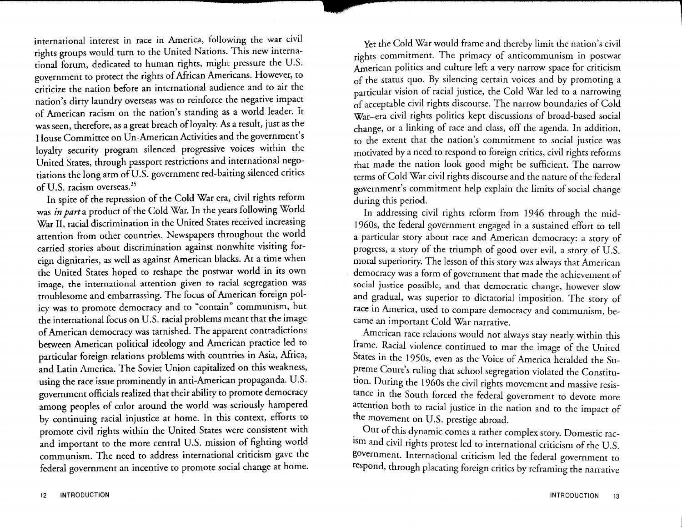international interest in race in America, following the war civil rights groups would turn to the United Nations. This new international forum, dedicated to human rights, might pressure the U.S. government to protect the rights of Mrican Americans. However, to criticize the nation before an international audience and to air the nation's dirty laundry overseas was to reinforce the negative impact of American racism on the nation's standing as a world leader. It was seen, therefore, as a great breach of loyalty. As a result, just as the House Committee on Un-American Activities and the government's loyalty security program silenced progressive voices within the United States, through passport restrictions and international negotiations the long arm of U.S. government red-baiting silenced critics of U.S. racism overseas.<sup>25</sup>

In spite of the repression of the Cold War era, civil rights reform was *in part* a product of the Cold War. In the years following World War II, racial discrimination in the United States received increasing attention from other countries. Newspapers throughout the world carried stories about discrimination against nonwhite visiting foreign dignitaries, as well as against American blacks. At a time when the United States hoped to reshape the postwar world in its own image, the international attention given to racial segregation was troublesome and embarrassing. The focus of American foreign policy was to promote democracy and to "contain" communism, but the international focus on U.S. racial problems meant that the image of American democracy was tarnished. The apparent contradictions between American political ideology and American practice led to particular foreign relations problems with countries in Asia, Mrica, and Latin America. The Soviet Union capitalized on this weakness, using the race issue prominently in anti-American propaganda. U.S. government officials realized that their ability to promote democracy among peoples of color around the world was seriously hampered by continuing racial injustice at home. In this context, efforts to promote civil rights within the United States were consistent with and important to the more central U.S. mission of fighting world communism. The need to address international criticism gave the federal government an incentive to promote social change at home.

Yet the Cold War would frame and thereby limit the nation's civil rights commitment. The primacy of anticommunism in postwar American politics and culture left a very narrow space for criticism of the status quo. By silencing certain voices and by promoting a particular vision of racial justice, the Cold War led to a narrowing of acceptable civil rights discourse. The narrow boundaries of Cold War-era civil rights politics kept discussions of broad-based social change, or a linking of race and class, off the agenda. In addition, to the extent that the nation's commitment to social justice was motivated by a need to respond to foreign critics, civil rights reforms that made the nation look good might be sufficient. The narrow terms of Cold War civil rights discourse and the nature of the federal governmen<sup>t</sup>'s commitment help explain the limits of social change during this period.

.I 1

In addressing civil rights reform from 1946 through the mid-1960s, the federal government engaged in a sustained effort to tell a particular story about race and American democracy: a story of progress, a story of the triumph of good over evil, a story of U.S. moral superiority. The lesson of this story was always that American democracy was a form of government that made the achievement of social justice possible, and that democratic change, however slow and gradual, was superior to dictatorial imposition. The story of race in America, used to compare democracy and communism, became an important Cold War narrative.

American race relations would not always stay neatly within this frame. Racial violence continued to mar the image of the United States in the 1950s, even as the Voice of America heralded the Supreme Court's ruling that school segregation violated the Constitution. During the 1960s the civil rights movement and massive resistance in the South forced the federal government to devote more attention both to racial justice in the nation and to the impact of the movement on U.S. prestige abroad.

. Out of this dynamic comes a rather complex story. Domestic racism and civil rights protest led to international criticism of the U.S. government. International criticism led the federal government to respond, through placating foreign critics by reframing the narrative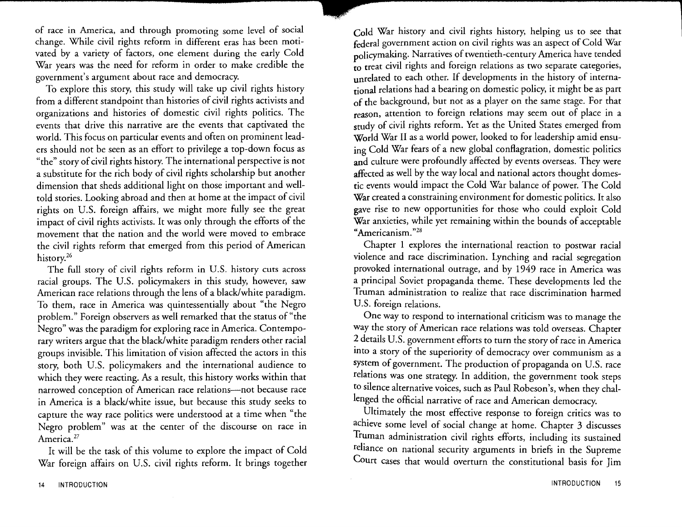of race in America, and through promoting some level of social change. While civil rights reform in different eras has been motivated by a variety of factors, one element during the early Cold War years was the need for reform in order to make credible the governmen<sup>t</sup>'s argument about race and democracy.

To explore this story, this study will take up civil rights history from a different standpoint than histories of civil rights activists and organizations and histories of domestic civil rights politics. The events that drive this narrative are the events that captivated the world. This focus on particular events and often on prominent leaders should not be seen as an effort to privilege a top-down focus as "the" story of civil rights history. The international perspective is not a substitute for the rich body of civil rights scholarship but another dimension that sheds additional light on those important and welltold stories. Looking abroad and then at home at the impact of civil rights on U.S. foreign affairs, we might more fully see the great impact of civil rights activists. It was only through the efforts of the movement that the nation and the world were moved to embrace the civil rights reform that emerged from this period of American history.<sup>26</sup>

The full story of civil rights reform in U.S. history cuts across racial groups. The U.S. policymakers in this study, however, saw American race relations through the lens of a black/white paradigm. To them, race in America was quintessentially about "the Negro problem." Foreign observers as well remarked that the status of "the Negro" was the paradigm for exploring race in America. Contemporary writers argue that the black/white paradigm renders other racial groups invisible. This limitation of vision affected the actors in this story, both U.S. policymakers and the international audience to which they were reacting. As a result, this history works within that narrowed conception of American race relations-not because race in America is a black/white issue, but because this study seeks to capture the way race politics were understood at a time when "the Negro problem" was at the center of the discourse on race in America.<sup>27</sup>

It will be the task of this volume to explore the impact of Cold War foreign affairs on U.S. civil rights reform. It brings together Cold War history and civil rights history, helping us to see that federal government action on civil rights was an aspect of Cold War policymaking. Narratives of twentieth-century America have to treat civil rights and foreign relations as two separate categories, unrelated to each other. If developments in the history of international relations had a bearing on domestic policy, it might be as part of the background, but not as a player on the same stage. For that reason, attention to foreign relations may seem out of place in a study of civil rights reform. Yet as the United States emerged from World War II as a world power, looked to for leadership amid ensuing Cold War fears of a new global conflagration, domestic politics and culture were profoundly affected by events overseas. They were affected as well by the way local and national actors thought domestic events would impact the Cold War balance of power. The Cold War created a constraining environment for domestic politics. It also gave rise to new opportunities for those who could exploit Cold War anxieties, while yet remaining within the bounds of acceptable "Americanism. "<sup>28</sup>

Chapter 1 explores the international reaction to postwar racial violence and race discrimination. Lynching and racial segregation provoked international outrage, and by 1949 race in America was a principal Soviet propaganda theme. These developments led the Truman administration to realize that race discrimination harmed U.S. foreign relations.

One way to respond to international criticism was to manage the way the story of American race relations was told overseas. Chapter 2 details U.S. government efforts to turn the story of race in America into a story of the superiority of democracy over communism as a system of government. The production of propaganda on U.S. race relations was one strategy. In addition, the government took steps to silence alternative voices, such as Paul Robeson's, when they challenged the official narrative of race and American democracy.

Ultimately the most effective response to foreign critics was to achieve some level of social change at home. Chapter 3 discusses Truman administration civil rights efforts, including its sustained reliance on national security arguments in briefs in the Supreme Court cases that would overturn the constitutional basis for Jim